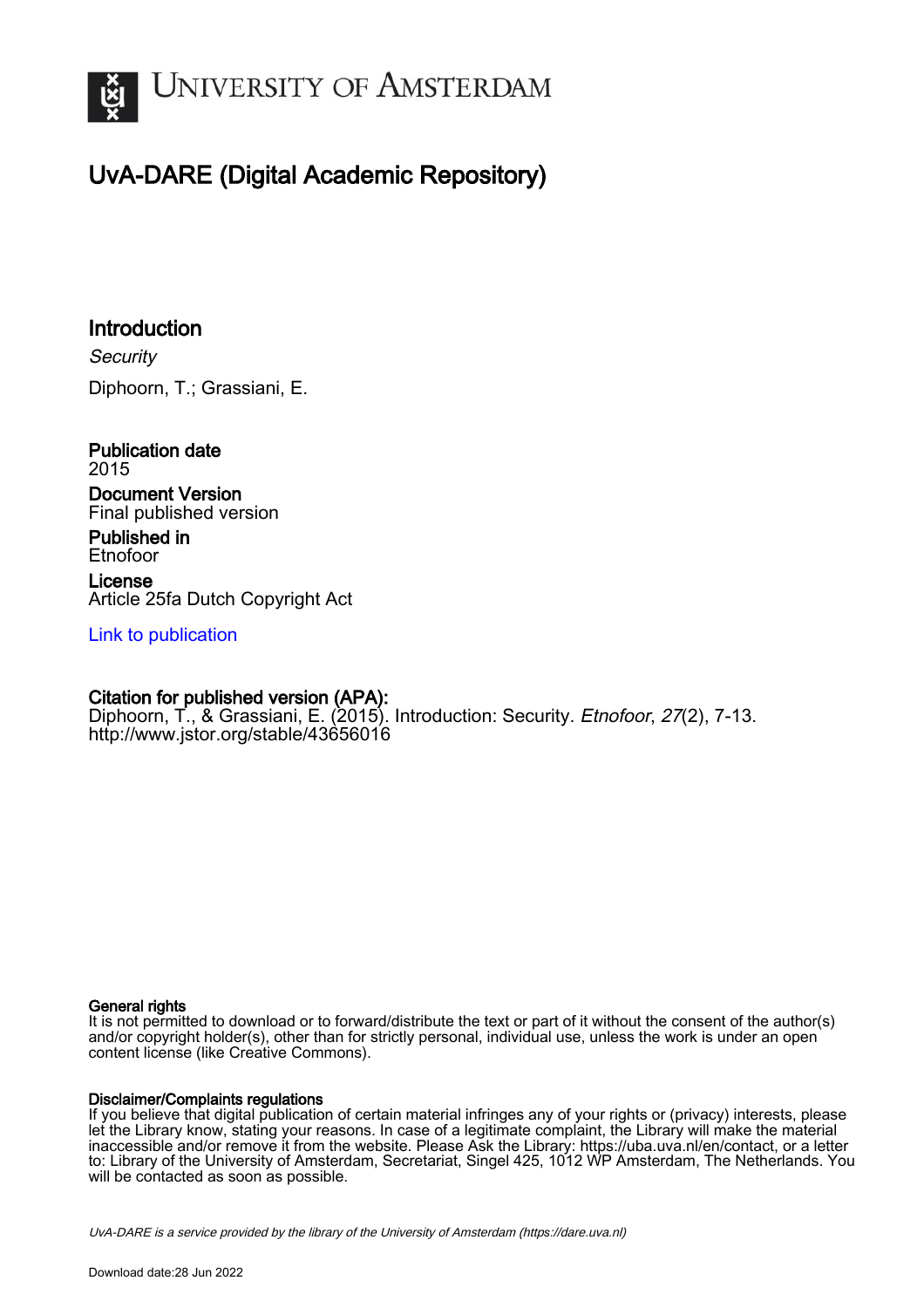

# UvA-DARE (Digital Academic Repository)

## Introduction

**Security** Diphoorn, T.; Grassiani, E.

Publication date 2015 Document Version

Final published version

Published in Etnofoor License Article 25fa Dutch Copyright Act

[Link to publication](https://dare.uva.nl/personal/pure/en/publications/introduction(b2be6fe9-985a-49b3-8f5f-7bb6e4170c0e).html)

### Citation for published version (APA):

Diphoorn, T., & Grassiani, E. (2015). Introduction: Security. *Etnofoor, 27*(2), 7-13. <http://www.jstor.org/stable/43656016>

#### General rights

It is not permitted to download or to forward/distribute the text or part of it without the consent of the author(s) and/or copyright holder(s), other than for strictly personal, individual use, unless the work is under an open content license (like Creative Commons).

#### Disclaimer/Complaints regulations

If you believe that digital publication of certain material infringes any of your rights or (privacy) interests, please let the Library know, stating your reasons. In case of a legitimate complaint, the Library will make the material inaccessible and/or remove it from the website. Please Ask the Library: https://uba.uva.nl/en/contact, or a letter to: Library of the University of Amsterdam, Secretariat, Singel 425, 1012 WP Amsterdam, The Netherlands. You will be contacted as soon as possible.

UvA-DARE is a service provided by the library of the University of Amsterdam (http*s*://dare.uva.nl)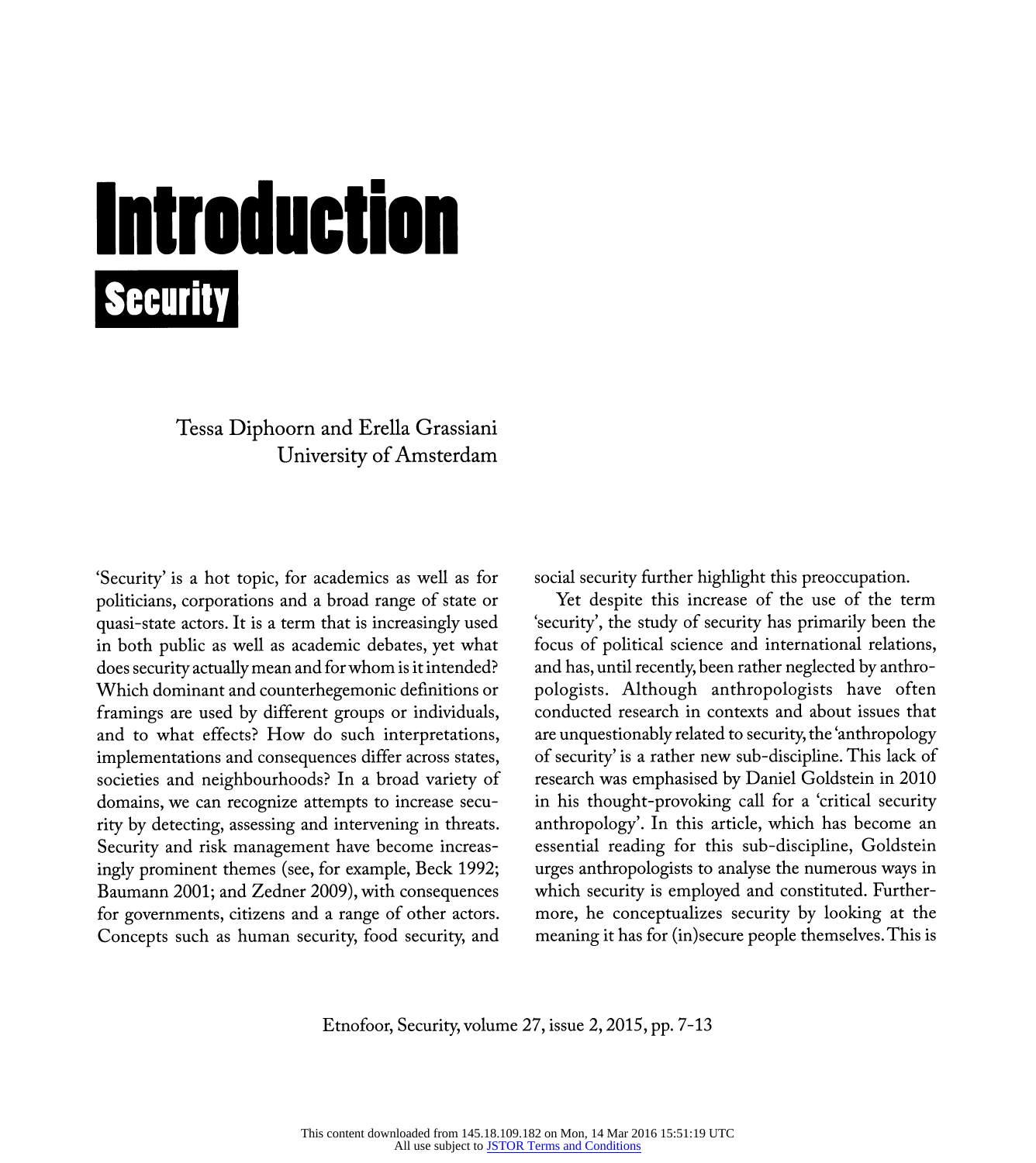# Introduction **Security**

 Tessa Diphoorn and Erella Grassiani University of Amsterdam

 'Security' is a hot topic, for academics as well as for politicians, corporations and a broad range of state or quasi-state actors. It is a term that is increasingly used in both public as well as academic debates, yet what does security actually mean and for whom is it intended? Which dominant and counterhegemonic definitions or framings are used by different groups or individuals, and to what effects? How do such interpretations, implementations and consequences differ across states, societies and neighbourhoods? In a broad variety of domains, we can recognize attempts to increase secu rity by detecting, assessing and intervening in threats. Security and risk management have become increas ingly prominent themes (see, for example, Beck 1992; Baumann 2001; and Zedner 2009), with consequences for governments, citizens and a range of other actors. Concepts such as human security, food security, and social security further highlight this preoccupation.

 Yet despite this increase of the use of the term 'security', the study of security has primarily been the focus of political science and international relations, and has, until recently, been rather neglected by anthro pologists. Although anthropologists have often conducted research in contexts and about issues that are unquestionably related to security, the 'anthropology of security' is a rather new sub-discipline. This lack of research was emphasised by Daniel Goldstein in 2010 in his thought-provoking call for a 'critical security anthropology'. In this article, which has become an essential reading for this sub-discipline, Goldstein urges anthropologists to analyse the numerous ways in which security is employed and constituted. Further more, he conceptualizes security by looking at the meaning it has for (in)secure people themselves. This is

Etnofoor, Security, volume 27, issue 2, 2015, pp. 7-13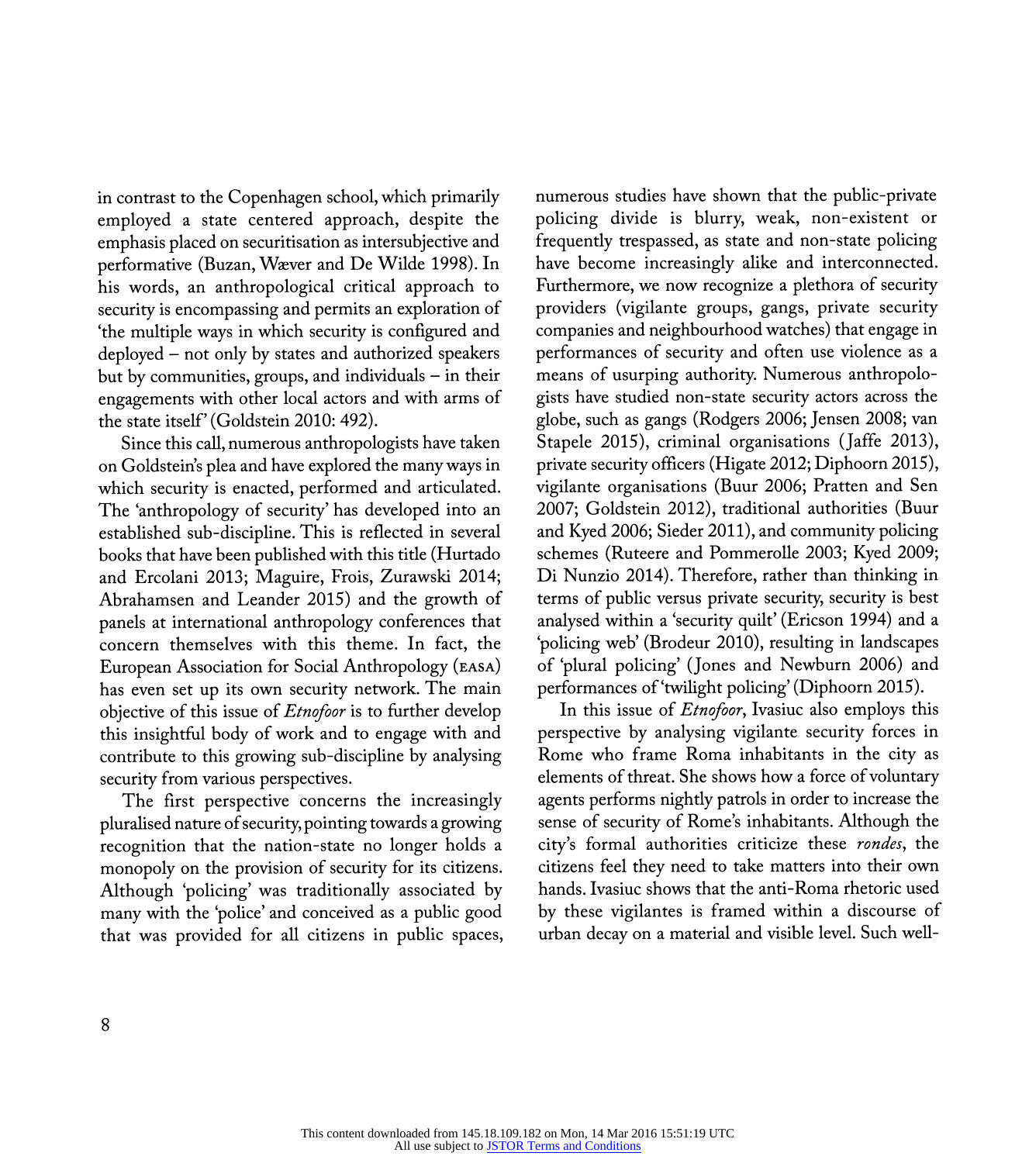in contrast to the Copenhagen school, which primarily employed a state centered approach, despite the emphasis placed on securitisation as intersubjective and performative (Buzan, Waever and De Wilde 1998). In his words, an anthropological critical approach to security is encompassing and permits an exploration of 'the multiple ways in which security is configured and deployed - not only by states and authorized speakers but by communities, groups, and individuals - in their engagements with other local actors and with arms of the state itself' (Goldstein 2010: 492).

 Since this call, numerous anthropologists have taken on Goldstein's plea and have explored the many ways in which security is enacted, performed and articulated. The 'anthropology of security' has developed into an established sub-discipline. This is reflected in several books that have been published with this title (Hurtado and Ercolani 2013; Maguire, Frois, Żurawski 2014; Abrahamsen and Leander 2015) and the growth of panels at international anthropology conferences that concern themselves with this theme. In fact, the European Association for Social Anthropology (easa) has even set up its own security network. The main objective of this issue of *Etnofoor* is to further develop this insightful body of work and to engage with and contribute to this growing sub-discipline by analysing security from various perspectives.

 The first perspective concerns the increasingly pluralised nature of security, pointing towards a growing recognition that the nation-state no longer holds a monopoly on the provision of security for its citizens. Although 'policing' was traditionally associated by many with the 'police' and conceived as a public good that was provided for all citizens in public spaces,  numerous studies have shown that the public-private policing divide is blurry, weak, non-existent or frequently trespassed, as state and non-state policing have become increasingly alike and interconnected. Furthermore, we now recognize a plethora of security providers (vigilante groups, gangs, private security companies and neighbourhood watches) that engage in performances of security and often use violence as a means of usurping authority. Numerous anthropolo gists have studied non-state security actors across the globe, such as gangs (Rodgers 2006; Jensen 2008; van Stapele 2015), criminal organisations (Jaffe 2013), private security officers (Higate 2012; Diphoorn 2015), vigilante organisations (Buur 2006; Pratten and Sen 2007; Goldstein 2012), traditional authorities (Buur and Kyed 2006; Sieder 2011), and community policing schemes (Ruteere and Pommerolle 2003; Kyed 2009; Di Nunzio 2014). Therefore, rather than thinking in terms of public versus private security, security is best analysed within a 'security quilť (Ericson 1994) and a policing web' (Brodeur 2010), resulting in landscapes of plural policing' (Jones and Newburn 2006) and performances of 'twilight policing' (Diphoorn 2015).

In this issue of *Etnofoor*, Ivasiuc also employs this perspective by analysing vigilante security forces in Rome who frame Roma inhabitants in the city as elements of threat. She shows how a force of voluntary agents performs nightly patrols in order to increase the sense of security of Rome's inhabitants. Although the city's formal authorities criticize these *rondes*, the citizens feel they need to take matters into their own hands. Ivasiuc shows that the anti- Roma rhetoric used by these vigilantes is framed within a discourse of urban decay on a material and visible level. Such well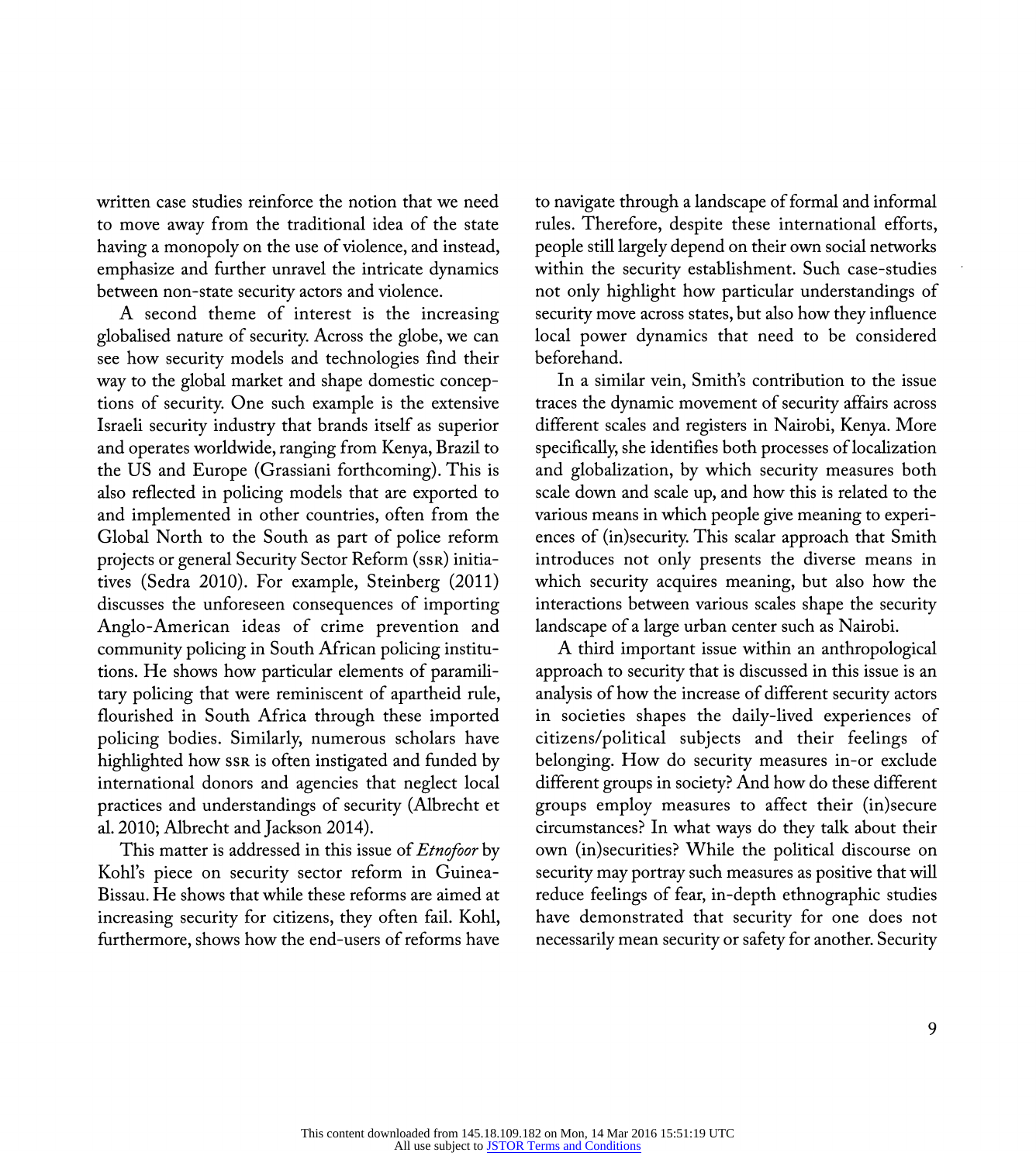written case studies reinforce the notion that we need to move away from the traditional idea of the state having a monopoly on the use of violence, and instead, emphasize and further unravel the intricate dynamics between non-state security actors and violence.

 A second theme of interest is the increasing globalised nature of security. Across the globe, we can see how security models and technologies find their way to the global market and shape domestic concep tions of security. One such example is the extensive Israeli security industry that brands itself as superior and operates worldwide, ranging from Kenya, Brazil to the US and Europe (Grassiani forthcoming). This is also reflected in policing models that are exported to and implemented in other countries, often from the Global North to the South as part of police reform projects or general Security Sector Reform (ssr) initia tives (Sedra 2010). For example, Steinberg (2011) discusses the unforeseen consequences of importing Anglo-American ideas of crime prevention and community policing in South African policing institu tions. He shows how particular elements of paramili tary policing that were reminiscent of apartheid rule, flourished in South Africa through these imported policing bodies. Similarly, numerous scholars have highlighted how ssr is often instigated and funded by international donors and agencies that neglect local practices and understandings of security (Albrecht et al. 2010; Albrecht and Jackson 2014).

This matter is addressed in this issue of *Etnofoor* by Kohl's piece on security sector reform in Guinea- Bissau. He shows that while these reforms are aimed at increasing security for citizens, they often fail. Kohl, furthermore, shows how the end-users of reforms have

 to navigate through a landscape of formal and informal rules. Therefore, despite these international efforts, people still largely depend on their own social networks within the security establishment. Such case-studies not only highlight how particular understandings of security move across states, but also how they influence local power dynamics that need to be considered beforehand.

In a similar vein, Smith's contribution to the issue traces the dynamic movement of security affairs across different scales and registers in Nairobi, Kenya. More specifically, she identifies both processes of localization and globalization, by which security measures both scale down and scale up, and how this is related to the various means in which people give meaning to experi ences of (in)security. This scalar approach that Smith introduces not only presents the diverse means in which security acquires meaning, but also how the interactions between various scales shape the security landscape of a large urban center such as Nairobi.

 A third important issue within an anthropological approach to security that is discussed in this issue is an analysis of how the increase of different security actors in societies shapes the daily-lived experiences of citizens/political subjects and their feelings of belonging. How do security measures in-or exclude different groups in society? And how do these different groups employ measures to affect their (in) secure circumstances? In what ways do they talk about their own (in)securities? While the political discourse on security may portray such measures as positive that will reduce feelings of fear, in-depth ethnographic studies have demonstrated that security for one does not necessarily mean security or safety for another. Security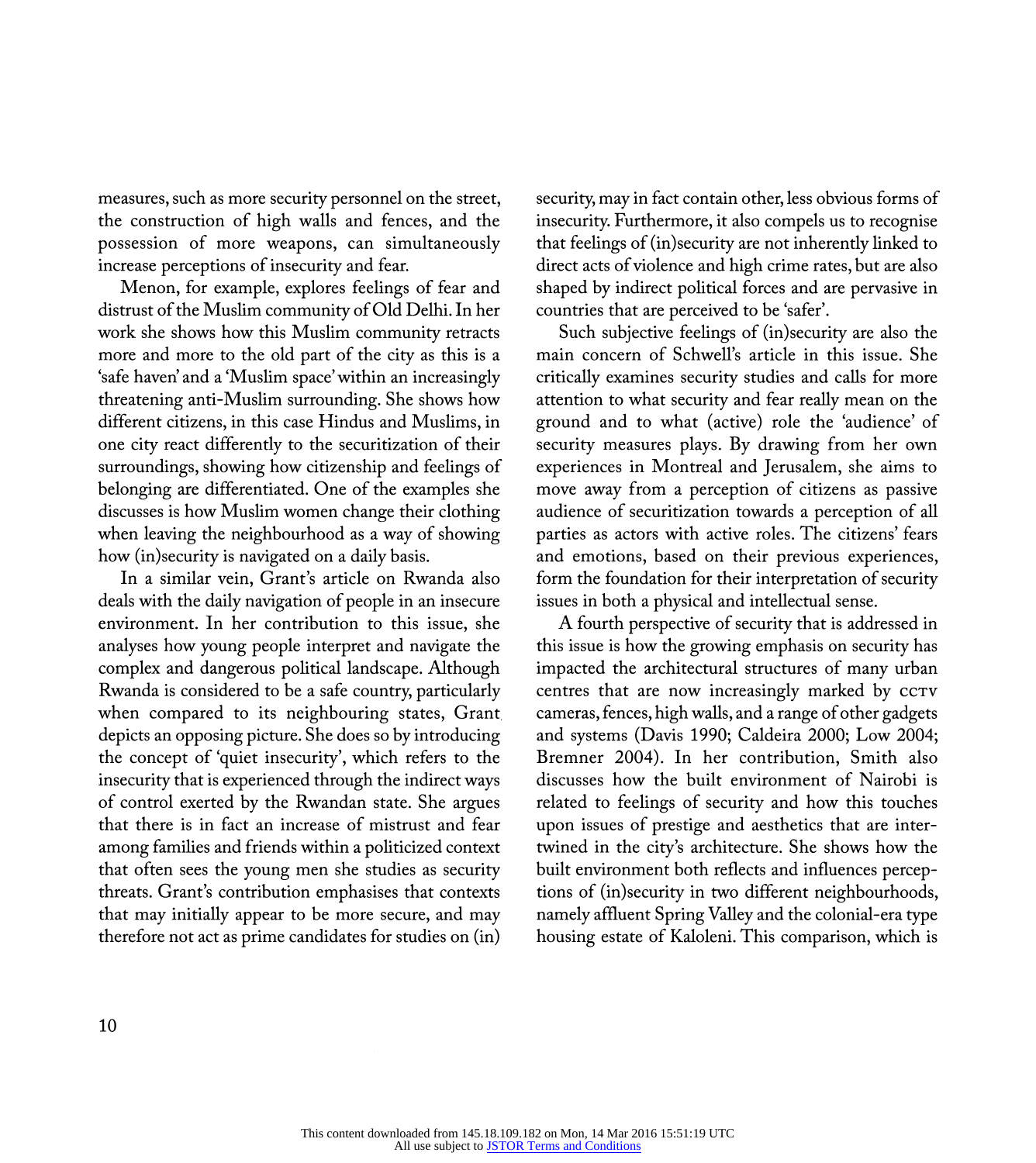measures, such as more security personnel on the street, the construction of high walls and fences, and the possession of more weapons, can simultaneously increase perceptions of insecurity and fear.

 Menon, for example, explores feelings of fear and distrust of the Muslim community of Old Delhi. In her work she shows how this Muslim community retracts more and more to the old part of the city as this is a 'safe haven' and a 'Muslim space' within an increasingly threatening anti-Muslim surrounding. She shows how different citizens, in this case Hindus and Muslims, in one city react differently to the securitization of their surroundings, showing how citizenship and feelings of belonging are differentiated. One of the examples she discusses is how Muslim women change their clothing when leaving the neighbourhood as a way of showing how (in)security is navigated on a daily basis.

In a similar vein, Grant's article on Rwanda also deals with the daily navigation of people in an insecure environment. In her contribution to this issue, she analyses how young people interpret and navigate the complex and dangerous political landscape. Although Rwanda is considered to be a safe country, particularly when compared to its neighbouring states, Grant depicts an opposing picture. She does so by introducing the concept of 'quiet insecurity', which refers to the insecurity that is experienced through the indirect ways of control exerted by the Rwandan state. She argues that there is in fact an increase of mistrust and fear among families and friends within a politicized context that often sees the young men she studies as security threats. Grant's contribution emphasises that contexts that may initially appear to be more secure, and may therefore not act as prime candidates for studies on (in)

 security, may in fact contain other, less obvious forms of insecurity. Furthermore, it also compels us to recognise that feelings of (in) security are not inherently linked to direct acts of violence and high crime rates, but are also shaped by indirect political forces and are pervasive in countries that are perceived to be 'safer'.

 Such subjective feelings of (in)security are also the main concern of Schwell's article in this issue. She critically examines security studies and calls for more attention to what security and fear really mean on the ground and to what (active) role the 'audience' of security measures plays. By drawing from her own experiences in Montreal and Jerusalem, she aims to move away from a perception of citizens as passive audience of securitization towards a perception of all parties as actors with active roles. The citizens' fears and emotions, based on their previous experiences, form the foundation for their interpretation of security issues in both a physical and intellectual sense.

 A fourth perspective of security that is addressed in this issue is how the growing emphasis on security has impacted the architectural structures of many urban centres that are now increasingly marked by  $cc\tau v$  cameras, fences, high walls, and a range of other gadgets and systems (Davis 1990; Caldeira 2000; Low 2004; Bremner 2004). In her contribution, Smith also discusses how the built environment of Nairobi is related to feelings of security and how this touches upon issues of prestige and aesthetics that are inter twined in the city's architecture. She shows how the built environment both reflects and influences percep tions of (in)security in two different neighbourhoods, namely affluent Spring Valley and the colonial-era type housing estate of Kaloleni. This comparison, which is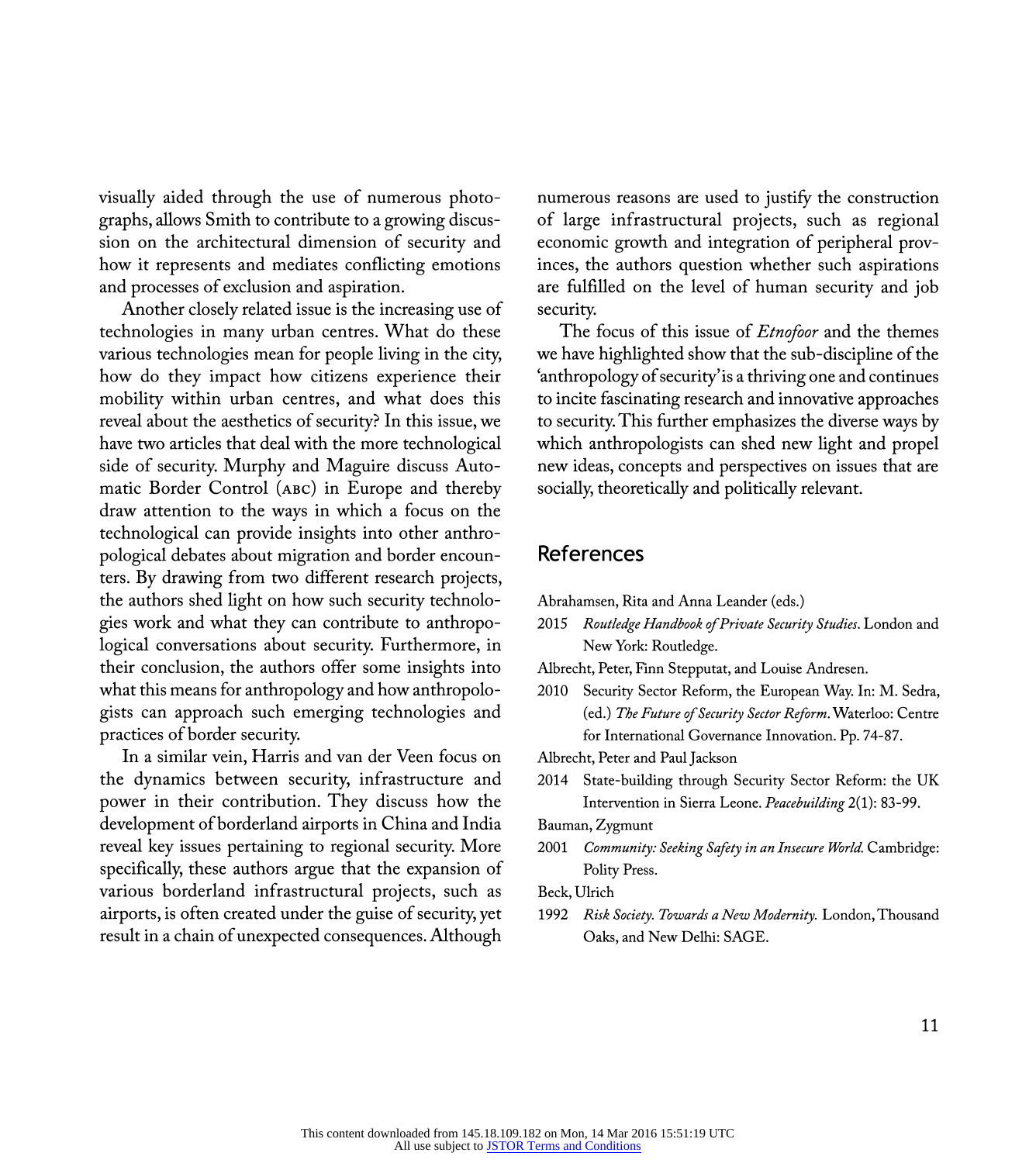visually aided through the use of numerous photo graphs, allows Smith to contribute to a growing discus sion on the architectural dimension of security and how it represents and mediates conflicting emotions and processes of exclusion and aspiration.

 Another closely related issue is the increasing use of technologies in many urban centres. What do these various technologies mean for people living in the city, how do they impact how citizens experience their mobility within urban centres, and what does this reveal about the aesthetics of security? In this issue, we have two articles that deal with the more technological side of security. Murphy and Maguire discuss Auto matic Border Control (abc) in Europe and thereby draw attention to the ways in which a focus on the technological can provide insights into other anthro pological debates about migration and border encoun ters. By drawing from two different research projects, the authors shed light on how such security technolo gies work and what they can contribute to anthropo logical conversations about security. Furthermore, in their conclusion, the authors offer some insights into what this means for anthropology and how anthropolo gists can approach such emerging technologies and practices of border security.

 In a similar vein, Harris and van der Veen focus on the dynamics between security, infrastructure and power in their contribution. They discuss how the development of borderland airports in China and India reveal key issues pertaining to regional security. More specifically, these authors argue that the expansion of various borderland infrastructural projects, such as airports, is often created under the guise of security, yet result in a chain of unexpected consequences. Although

 numerous reasons are used to justify the construction of large infrastructural projects, such as regional economic growth and integration of peripheral prov inces, the authors question whether such aspirations are fulfilled on the level of human security and job security.

The focus of this issue of *Etnofoor* and the themes we have highlighted show that the sub-discipline of the 'anthropology of security' is a thriving one and continues to incite fascinating research and innovative approaches to security. This further emphasizes the diverse ways by which anthropologists can shed new light and propel new ideas, concepts and perspectives on issues that are socially, theoretically and politically relevant.

#### References

Abrahamsen, Rita and Anna Leander (eds.)

2015 Routledge Handbook of Private Security Studies. London and New York: Routledge.

Albrecht, Peter, Finn Stepputat, and Louise Andresen.

 2010 Security Sector Reform, the European Way. In: M. Sedra, (ed.) The Future of Security Sector Reform. Waterloo: Centre for International Governance Innovation. Pp. 74-87.

Albrecht, Peter and Paul Jackson

 2014 State-building through Security Sector Reform: the UK Intervention in Sierra Leone. Peacebuilding 2(1): 83-99.

Bauman, Zygmunt

2001 Community: Seeking Safety in an Insecure World. Cambridge: Polity Press.

Beck, Ulrich

1992 Risk Society. Towards a New Modernity. London, Thousand Oaks, and New Delhi: SAGE.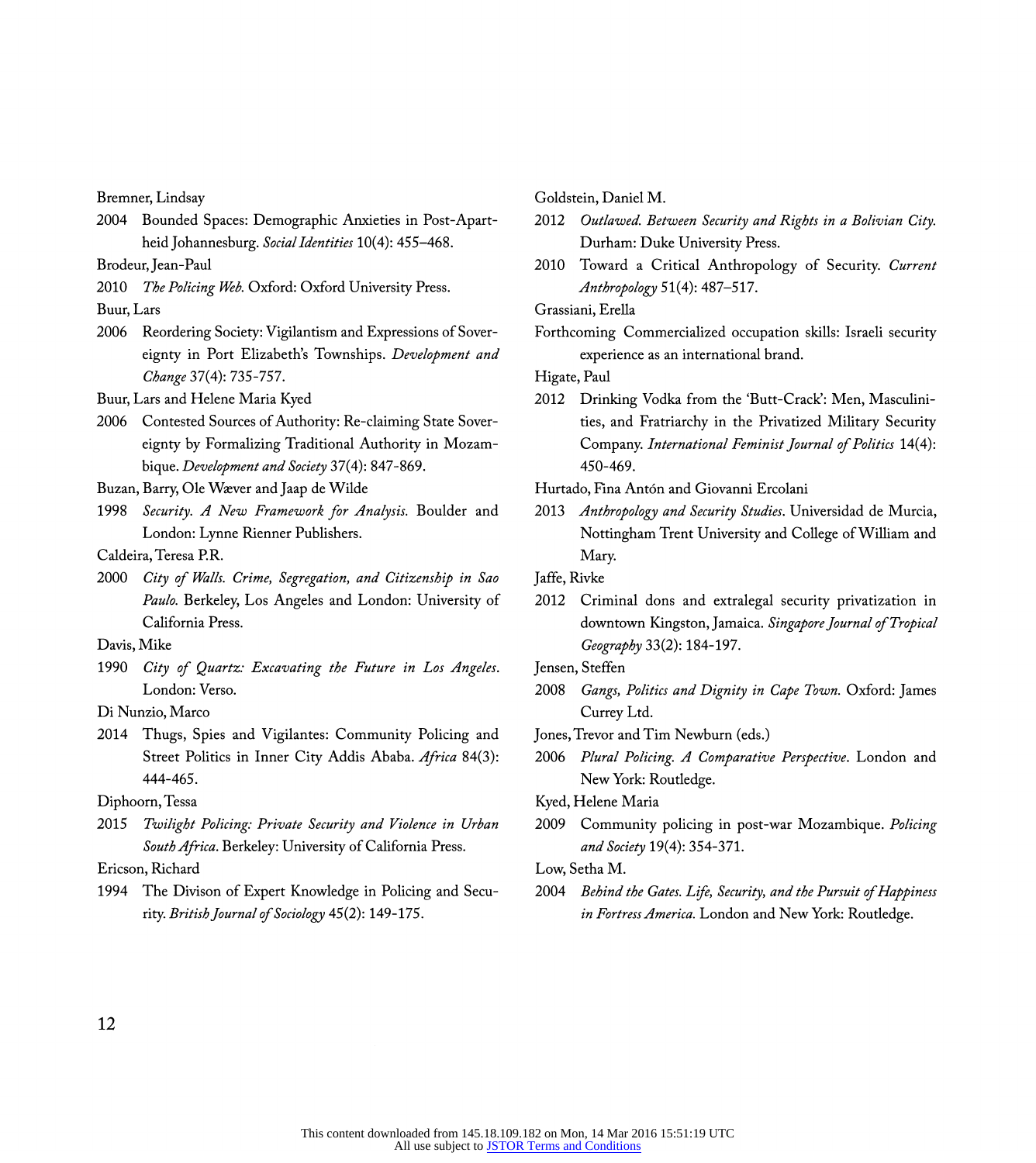Bremner, Lindsay

2004 Bounded Spaces: Demographic Anxieties in Post-Apartheid Johannesburg. Social Identities 10(4): 455-468.

Brodeur, Jean-Paul

2010 The Policing Web. Oxford: Oxford University Press.

Buur, Lars

 2006 Reordering Society: Vigilantism and Expressions of Sover eignty in Port Elizabeth's Townships. Development and Change 37(4): 735-757.

Buur, Lars and Helene Maria Kyed

 2006 Contested Sources of Authority: Re-claiming State Sover eignty by Formalizing Traditional Authority in Mozam bique. Development and Society 37(4): 847-869.

Buzan, Barry, Ole Waever and Jaap de Wilde

1998 Security. A New Framework for Analysis. Boulder and London: Lynne Rienner Publishers.

Caldeira, Teresa PR.

2000 City of Walls. Crime, Segregation, and Citizenship in Sao Paulo. Berkeley, Los Angeles and London: University of California Press.

Davis, Mike

1990 City of Quartz: Excavating the Future in Los Angeles. London: Verso.

Di Nunzio, Marco

 2014 Thugs, Spies and Vigilantes: Community Policing and Street Politics in Inner City Addis Ababa. Africa 84(3): 444-465.

Diphoorn, Tessa

 2015 Twilight Policing: Private Security and Violence in Urban South Africa. Berkeley: University of California Press.

Ericson, Richard

 1994 The Divison of Expert Knowledge in Policing and Secu rity. British Journal of Sociology 45(2): 149-175.

Goldstein, Daniel M.

- 2012 Outlawed. Between Security and Rights in a Bolivian City. Durham: Duke University Press.
- 2010 Toward a Critical Anthropology of Security. Current Anthropology 51(4): 487-517.

Grassiani, Erella

 Forthcoming Commercialized occupation skills: Israeli security experience as an international brand.

Higate, Paul

 2012 Drinking Vodka from the 'Butt-Crack': Men, Masculini ties, and Fratriarchy in the Privatized Military Security Company. International Feminist Journal of Politics 14(4): 450-469.

Hurtado, Fina Antón and Giovanni Ercolani

2013 Anthropology and Security Studies. Universidad de Murcia, Nottingham Trent University and College of William and Mary.

Jaffe, Rivke

 2012 Criminal dons and extralegal security privatization in downtown Kingston, Jamaica. Singapore Journal of Tropical Geography 33(2): 184-197.

Jensen, Steffen

- 2008 Gangs, Politics and Dignity in Cape Town. Oxford: James Currey Ltd.
- Jones, Trevor and Tim Newburn (eds.)
- 2006 Plural Policing. A Comparative Perspective. London and New York: Routledge.

Kyed, Helene Maria

2009 Community policing in post-war Mozambique. Policing and Society 19(4): 354-371.

#### Low, Setha M.

2004 Behind the Gates. Life, Security, and the Pursuit of Happiness in Fortress America. London and New York: Routledge.